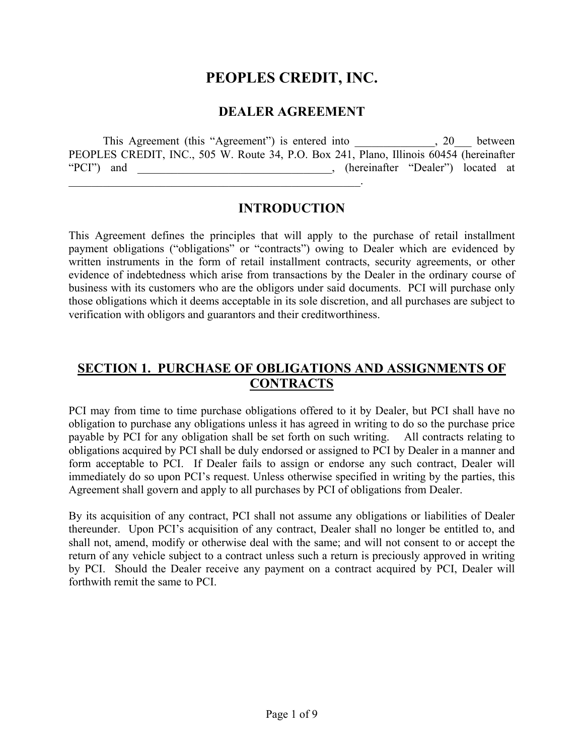# **PEOPLES CREDIT, INC.**

### **DEALER AGREEMENT**

This Agreement (this "Agreement") is entered into  $\qquad \qquad , 20$  between PEOPLES CREDIT, INC., 505 W. Route 34, P.O. Box 241, Plano, Illinois 60454 (hereinafter "PCI") and \_\_\_\_\_\_\_\_\_\_\_\_\_\_\_\_\_\_\_\_\_\_\_\_\_\_\_\_\_\_\_\_\_\_, (hereinafter "Dealer") located at  $\mathcal{L}_\text{max} = \mathcal{L}_\text{max} = \mathcal{L}_\text{max} = \mathcal{L}_\text{max} = \mathcal{L}_\text{max} = \mathcal{L}_\text{max} = \mathcal{L}_\text{max} = \mathcal{L}_\text{max} = \mathcal{L}_\text{max} = \mathcal{L}_\text{max} = \mathcal{L}_\text{max} = \mathcal{L}_\text{max} = \mathcal{L}_\text{max} = \mathcal{L}_\text{max} = \mathcal{L}_\text{max} = \mathcal{L}_\text{max} = \mathcal{L}_\text{max} = \mathcal{L}_\text{max} = \mathcal{$ 

#### **INTRODUCTION**

This Agreement defines the principles that will apply to the purchase of retail installment payment obligations ("obligations" or "contracts") owing to Dealer which are evidenced by written instruments in the form of retail installment contracts, security agreements, or other evidence of indebtedness which arise from transactions by the Dealer in the ordinary course of business with its customers who are the obligors under said documents. PCI will purchase only those obligations which it deems acceptable in its sole discretion, and all purchases are subject to verification with obligors and guarantors and their creditworthiness.

## **SECTION 1. PURCHASE OF OBLIGATIONS AND ASSIGNMENTS OF CONTRACTS**

PCI may from time to time purchase obligations offered to it by Dealer, but PCI shall have no obligation to purchase any obligations unless it has agreed in writing to do so the purchase price payable by PCI for any obligation shall be set forth on such writing. All contracts relating to obligations acquired by PCI shall be duly endorsed or assigned to PCI by Dealer in a manner and form acceptable to PCI. If Dealer fails to assign or endorse any such contract, Dealer will immediately do so upon PCI's request. Unless otherwise specified in writing by the parties, this Agreement shall govern and apply to all purchases by PCI of obligations from Dealer.

By its acquisition of any contract, PCI shall not assume any obligations or liabilities of Dealer thereunder. Upon PCI's acquisition of any contract, Dealer shall no longer be entitled to, and shall not, amend, modify or otherwise deal with the same; and will not consent to or accept the return of any vehicle subject to a contract unless such a return is preciously approved in writing by PCI. Should the Dealer receive any payment on a contract acquired by PCI, Dealer will forthwith remit the same to PCI.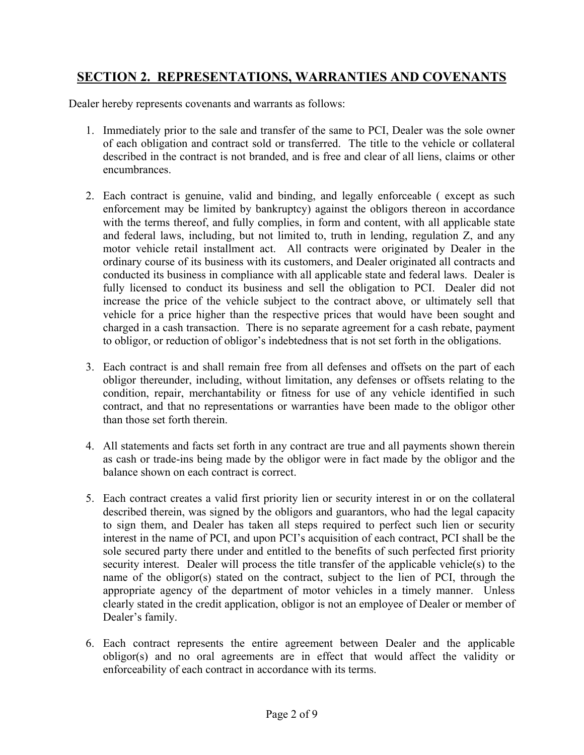## **SECTION 2. REPRESENTATIONS, WARRANTIES AND COVENANTS**

Dealer hereby represents covenants and warrants as follows:

- 1. Immediately prior to the sale and transfer of the same to PCI, Dealer was the sole owner of each obligation and contract sold or transferred. The title to the vehicle or collateral described in the contract is not branded, and is free and clear of all liens, claims or other encumbrances.
- 2. Each contract is genuine, valid and binding, and legally enforceable ( except as such enforcement may be limited by bankruptcy) against the obligors thereon in accordance with the terms thereof, and fully complies, in form and content, with all applicable state and federal laws, including, but not limited to, truth in lending, regulation Z, and any motor vehicle retail installment act. All contracts were originated by Dealer in the ordinary course of its business with its customers, and Dealer originated all contracts and conducted its business in compliance with all applicable state and federal laws. Dealer is fully licensed to conduct its business and sell the obligation to PCI. Dealer did not increase the price of the vehicle subject to the contract above, or ultimately sell that vehicle for a price higher than the respective prices that would have been sought and charged in a cash transaction. There is no separate agreement for a cash rebate, payment to obligor, or reduction of obligor's indebtedness that is not set forth in the obligations.
- 3. Each contract is and shall remain free from all defenses and offsets on the part of each obligor thereunder, including, without limitation, any defenses or offsets relating to the condition, repair, merchantability or fitness for use of any vehicle identified in such contract, and that no representations or warranties have been made to the obligor other than those set forth therein.
- 4. All statements and facts set forth in any contract are true and all payments shown therein as cash or trade-ins being made by the obligor were in fact made by the obligor and the balance shown on each contract is correct.
- 5. Each contract creates a valid first priority lien or security interest in or on the collateral described therein, was signed by the obligors and guarantors, who had the legal capacity to sign them, and Dealer has taken all steps required to perfect such lien or security interest in the name of PCI, and upon PCI's acquisition of each contract, PCI shall be the sole secured party there under and entitled to the benefits of such perfected first priority security interest. Dealer will process the title transfer of the applicable vehicle(s) to the name of the obligor(s) stated on the contract, subject to the lien of PCI, through the appropriate agency of the department of motor vehicles in a timely manner. Unless clearly stated in the credit application, obligor is not an employee of Dealer or member of Dealer's family.
- 6. Each contract represents the entire agreement between Dealer and the applicable obligor(s) and no oral agreements are in effect that would affect the validity or enforceability of each contract in accordance with its terms.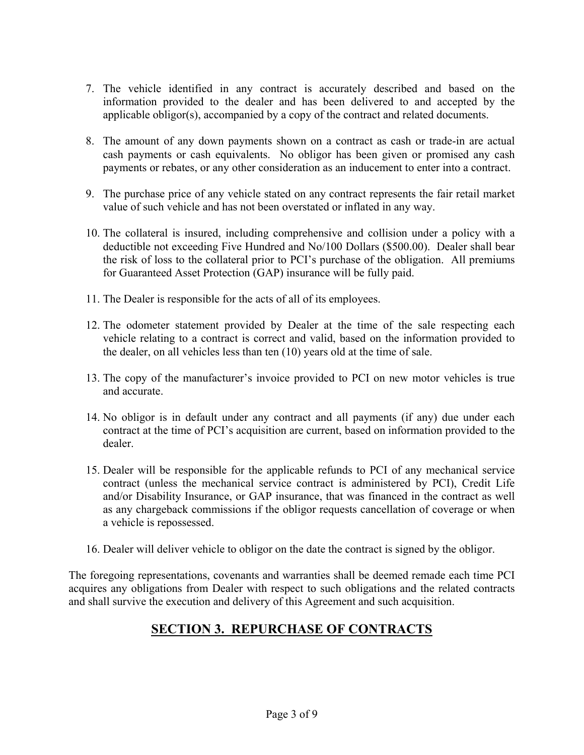- 7. The vehicle identified in any contract is accurately described and based on the information provided to the dealer and has been delivered to and accepted by the applicable obligor(s), accompanied by a copy of the contract and related documents.
- 8. The amount of any down payments shown on a contract as cash or trade-in are actual cash payments or cash equivalents. No obligor has been given or promised any cash payments or rebates, or any other consideration as an inducement to enter into a contract.
- 9. The purchase price of any vehicle stated on any contract represents the fair retail market value of such vehicle and has not been overstated or inflated in any way.
- 10. The collateral is insured, including comprehensive and collision under a policy with a deductible not exceeding Five Hundred and No/100 Dollars (\$500.00). Dealer shall bear the risk of loss to the collateral prior to PCI's purchase of the obligation. All premiums for Guaranteed Asset Protection (GAP) insurance will be fully paid.
- 11. The Dealer is responsible for the acts of all of its employees.
- 12. The odometer statement provided by Dealer at the time of the sale respecting each vehicle relating to a contract is correct and valid, based on the information provided to the dealer, on all vehicles less than ten (10) years old at the time of sale.
- 13. The copy of the manufacturer's invoice provided to PCI on new motor vehicles is true and accurate.
- 14. No obligor is in default under any contract and all payments (if any) due under each contract at the time of PCI's acquisition are current, based on information provided to the dealer.
- 15. Dealer will be responsible for the applicable refunds to PCI of any mechanical service contract (unless the mechanical service contract is administered by PCI), Credit Life and/or Disability Insurance, or GAP insurance, that was financed in the contract as well as any chargeback commissions if the obligor requests cancellation of coverage or when a vehicle is repossessed.
- 16. Dealer will deliver vehicle to obligor on the date the contract is signed by the obligor.

The foregoing representations, covenants and warranties shall be deemed remade each time PCI acquires any obligations from Dealer with respect to such obligations and the related contracts and shall survive the execution and delivery of this Agreement and such acquisition.

## **SECTION 3. REPURCHASE OF CONTRACTS**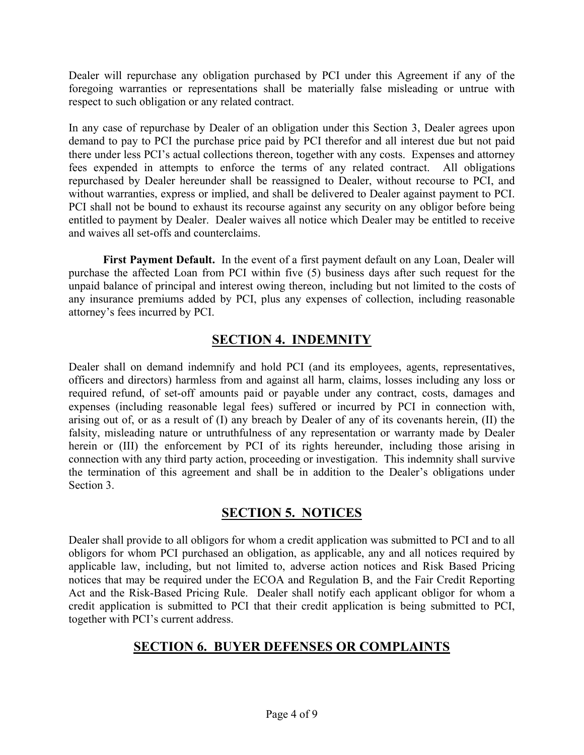Dealer will repurchase any obligation purchased by PCI under this Agreement if any of the foregoing warranties or representations shall be materially false misleading or untrue with respect to such obligation or any related contract.

In any case of repurchase by Dealer of an obligation under this Section 3, Dealer agrees upon demand to pay to PCI the purchase price paid by PCI therefor and all interest due but not paid there under less PCI's actual collections thereon, together with any costs. Expenses and attorney fees expended in attempts to enforce the terms of any related contract. All obligations repurchased by Dealer hereunder shall be reassigned to Dealer, without recourse to PCI, and without warranties, express or implied, and shall be delivered to Dealer against payment to PCI. PCI shall not be bound to exhaust its recourse against any security on any obligor before being entitled to payment by Dealer. Dealer waives all notice which Dealer may be entitled to receive and waives all set-offs and counterclaims.

 **First Payment Default.** In the event of a first payment default on any Loan, Dealer will purchase the affected Loan from PCI within five (5) business days after such request for the unpaid balance of principal and interest owing thereon, including but not limited to the costs of any insurance premiums added by PCI, plus any expenses of collection, including reasonable attorney's fees incurred by PCI.

## **SECTION 4. INDEMNITY**

Dealer shall on demand indemnify and hold PCI (and its employees, agents, representatives, officers and directors) harmless from and against all harm, claims, losses including any loss or required refund, of set-off amounts paid or payable under any contract, costs, damages and expenses (including reasonable legal fees) suffered or incurred by PCI in connection with, arising out of, or as a result of (I) any breach by Dealer of any of its covenants herein, (II) the falsity, misleading nature or untruthfulness of any representation or warranty made by Dealer herein or (III) the enforcement by PCI of its rights hereunder, including those arising in connection with any third party action, proceeding or investigation. This indemnity shall survive the termination of this agreement and shall be in addition to the Dealer's obligations under Section 3.

### **SECTION 5. NOTICES**

Dealer shall provide to all obligors for whom a credit application was submitted to PCI and to all obligors for whom PCI purchased an obligation, as applicable, any and all notices required by applicable law, including, but not limited to, adverse action notices and Risk Based Pricing notices that may be required under the ECOA and Regulation B, and the Fair Credit Reporting Act and the Risk-Based Pricing Rule. Dealer shall notify each applicant obligor for whom a credit application is submitted to PCI that their credit application is being submitted to PCI, together with PCI's current address.

### **SECTION 6. BUYER DEFENSES OR COMPLAINTS**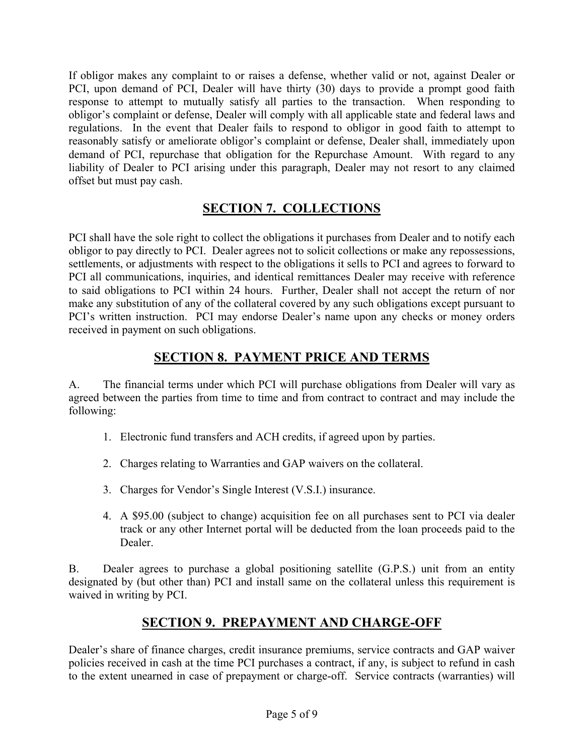If obligor makes any complaint to or raises a defense, whether valid or not, against Dealer or PCI, upon demand of PCI, Dealer will have thirty (30) days to provide a prompt good faith response to attempt to mutually satisfy all parties to the transaction. When responding to obligor's complaint or defense, Dealer will comply with all applicable state and federal laws and regulations. In the event that Dealer fails to respond to obligor in good faith to attempt to reasonably satisfy or ameliorate obligor's complaint or defense, Dealer shall, immediately upon demand of PCI, repurchase that obligation for the Repurchase Amount. With regard to any liability of Dealer to PCI arising under this paragraph, Dealer may not resort to any claimed offset but must pay cash.

## **SECTION 7. COLLECTIONS**

PCI shall have the sole right to collect the obligations it purchases from Dealer and to notify each obligor to pay directly to PCI. Dealer agrees not to solicit collections or make any repossessions, settlements, or adjustments with respect to the obligations it sells to PCI and agrees to forward to PCI all communications, inquiries, and identical remittances Dealer may receive with reference to said obligations to PCI within 24 hours. Further, Dealer shall not accept the return of nor make any substitution of any of the collateral covered by any such obligations except pursuant to PCI's written instruction. PCI may endorse Dealer's name upon any checks or money orders received in payment on such obligations.

## **SECTION 8. PAYMENT PRICE AND TERMS**

A. The financial terms under which PCI will purchase obligations from Dealer will vary as agreed between the parties from time to time and from contract to contract and may include the following:

- 1. Electronic fund transfers and ACH credits, if agreed upon by parties.
- 2. Charges relating to Warranties and GAP waivers on the collateral.
- 3. Charges for Vendor's Single Interest (V.S.I.) insurance.
- 4. A \$95.00 (subject to change) acquisition fee on all purchases sent to PCI via dealer track or any other Internet portal will be deducted from the loan proceeds paid to the Dealer.

B. Dealer agrees to purchase a global positioning satellite (G.P.S.) unit from an entity designated by (but other than) PCI and install same on the collateral unless this requirement is waived in writing by PCI.

## **SECTION 9. PREPAYMENT AND CHARGE-OFF**

Dealer's share of finance charges, credit insurance premiums, service contracts and GAP waiver policies received in cash at the time PCI purchases a contract, if any, is subject to refund in cash to the extent unearned in case of prepayment or charge-off. Service contracts (warranties) will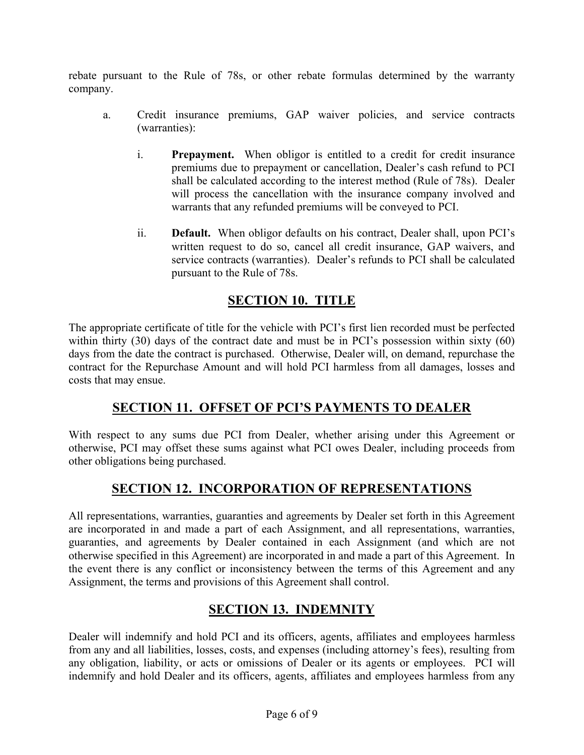rebate pursuant to the Rule of 78s, or other rebate formulas determined by the warranty company.

- a. Credit insurance premiums, GAP waiver policies, and service contracts (warranties):
	- i. **Prepayment.** When obligor is entitled to a credit for credit insurance premiums due to prepayment or cancellation, Dealer's cash refund to PCI shall be calculated according to the interest method (Rule of 78s). Dealer will process the cancellation with the insurance company involved and warrants that any refunded premiums will be conveyed to PCI.
	- ii. **Default.** When obligor defaults on his contract, Dealer shall, upon PCI's written request to do so, cancel all credit insurance, GAP waivers, and service contracts (warranties). Dealer's refunds to PCI shall be calculated pursuant to the Rule of 78s.

### **SECTION 10. TITLE**

The appropriate certificate of title for the vehicle with PCI's first lien recorded must be perfected within thirty (30) days of the contract date and must be in PCI's possession within sixty (60) days from the date the contract is purchased. Otherwise, Dealer will, on demand, repurchase the contract for the Repurchase Amount and will hold PCI harmless from all damages, losses and costs that may ensue.

#### **SECTION 11. OFFSET OF PCI'S PAYMENTS TO DEALER**

With respect to any sums due PCI from Dealer, whether arising under this Agreement or otherwise, PCI may offset these sums against what PCI owes Dealer, including proceeds from other obligations being purchased.

### **SECTION 12. INCORPORATION OF REPRESENTATIONS**

All representations, warranties, guaranties and agreements by Dealer set forth in this Agreement are incorporated in and made a part of each Assignment, and all representations, warranties, guaranties, and agreements by Dealer contained in each Assignment (and which are not otherwise specified in this Agreement) are incorporated in and made a part of this Agreement. In the event there is any conflict or inconsistency between the terms of this Agreement and any Assignment, the terms and provisions of this Agreement shall control.

### **SECTION 13. INDEMNITY**

Dealer will indemnify and hold PCI and its officers, agents, affiliates and employees harmless from any and all liabilities, losses, costs, and expenses (including attorney's fees), resulting from any obligation, liability, or acts or omissions of Dealer or its agents or employees. PCI will indemnify and hold Dealer and its officers, agents, affiliates and employees harmless from any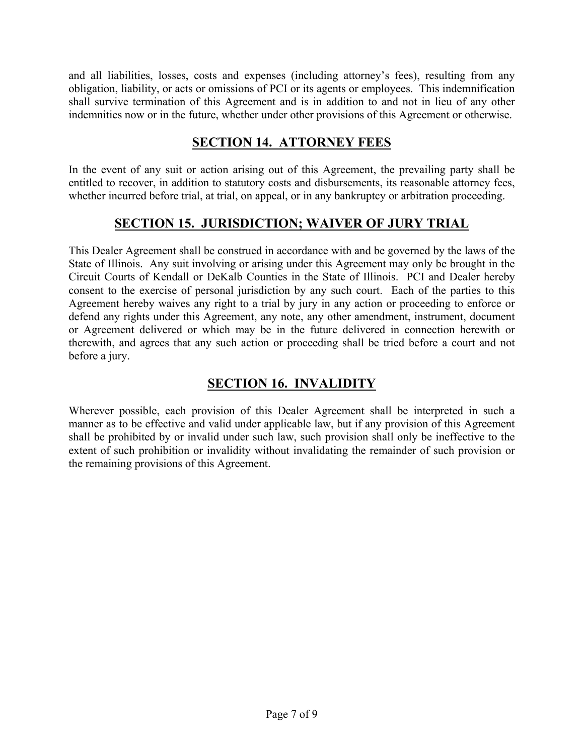and all liabilities, losses, costs and expenses (including attorney's fees), resulting from any obligation, liability, or acts or omissions of PCI or its agents or employees. This indemnification shall survive termination of this Agreement and is in addition to and not in lieu of any other indemnities now or in the future, whether under other provisions of this Agreement or otherwise.

## **SECTION 14. ATTORNEY FEES**

In the event of any suit or action arising out of this Agreement, the prevailing party shall be entitled to recover, in addition to statutory costs and disbursements, its reasonable attorney fees, whether incurred before trial, at trial, on appeal, or in any bankruptcy or arbitration proceeding.

### **SECTION 15. JURISDICTION; WAIVER OF JURY TRIAL**

This Dealer Agreement shall be construed in accordance with and be governed by the laws of the State of Illinois. Any suit involving or arising under this Agreement may only be brought in the Circuit Courts of Kendall or DeKalb Counties in the State of Illinois. PCI and Dealer hereby consent to the exercise of personal jurisdiction by any such court. Each of the parties to this Agreement hereby waives any right to a trial by jury in any action or proceeding to enforce or defend any rights under this Agreement, any note, any other amendment, instrument, document or Agreement delivered or which may be in the future delivered in connection herewith or therewith, and agrees that any such action or proceeding shall be tried before a court and not before a jury.

## **SECTION 16. INVALIDITY**

Wherever possible, each provision of this Dealer Agreement shall be interpreted in such a manner as to be effective and valid under applicable law, but if any provision of this Agreement shall be prohibited by or invalid under such law, such provision shall only be ineffective to the extent of such prohibition or invalidity without invalidating the remainder of such provision or the remaining provisions of this Agreement.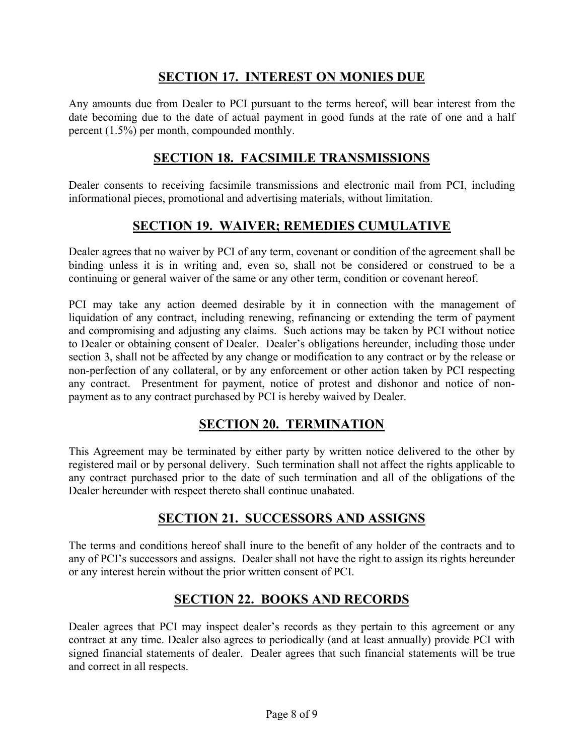### **SECTION 17. INTEREST ON MONIES DUE**

Any amounts due from Dealer to PCI pursuant to the terms hereof, will bear interest from the date becoming due to the date of actual payment in good funds at the rate of one and a half percent (1.5%) per month, compounded monthly.

#### **SECTION 18. FACSIMILE TRANSMISSIONS**

Dealer consents to receiving facsimile transmissions and electronic mail from PCI, including informational pieces, promotional and advertising materials, without limitation.

#### **SECTION 19. WAIVER; REMEDIES CUMULATIVE**

Dealer agrees that no waiver by PCI of any term, covenant or condition of the agreement shall be binding unless it is in writing and, even so, shall not be considered or construed to be a continuing or general waiver of the same or any other term, condition or covenant hereof.

PCI may take any action deemed desirable by it in connection with the management of liquidation of any contract, including renewing, refinancing or extending the term of payment and compromising and adjusting any claims. Such actions may be taken by PCI without notice to Dealer or obtaining consent of Dealer. Dealer's obligations hereunder, including those under section 3, shall not be affected by any change or modification to any contract or by the release or non-perfection of any collateral, or by any enforcement or other action taken by PCI respecting any contract. Presentment for payment, notice of protest and dishonor and notice of nonpayment as to any contract purchased by PCI is hereby waived by Dealer.

#### **SECTION 20. TERMINATION**

This Agreement may be terminated by either party by written notice delivered to the other by registered mail or by personal delivery. Such termination shall not affect the rights applicable to any contract purchased prior to the date of such termination and all of the obligations of the Dealer hereunder with respect thereto shall continue unabated.

#### **SECTION 21. SUCCESSORS AND ASSIGNS**

The terms and conditions hereof shall inure to the benefit of any holder of the contracts and to any of PCI's successors and assigns. Dealer shall not have the right to assign its rights hereunder or any interest herein without the prior written consent of PCI.

#### **SECTION 22. BOOKS AND RECORDS**

Dealer agrees that PCI may inspect dealer's records as they pertain to this agreement or any contract at any time. Dealer also agrees to periodically (and at least annually) provide PCI with signed financial statements of dealer. Dealer agrees that such financial statements will be true and correct in all respects.